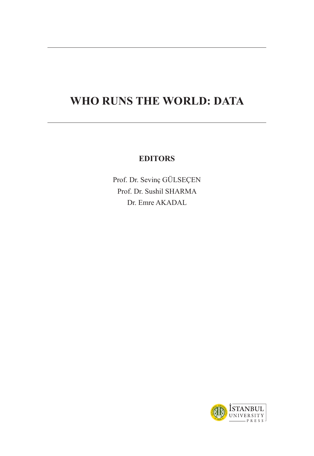# **WHO RUNS THE WORLD: DATA**

### **EDITORS**

Prof. Dr. Sevinç GÜLSEÇEN Prof. Dr. Sushil SHARMA Dr. Emre AKADAL

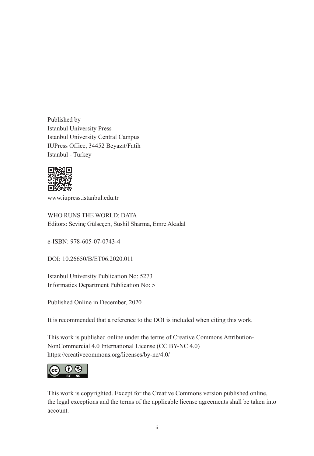Published by Istanbul University Press Istanbul University Central Campus IUPress Office, 34452 Beyazıt/Fatih Istanbul - Turkey



www.iupress.istanbul.edu.tr

WHO RUNS THE WORLD: DATA Editors: Sevinç Gülseçen, Sushil Sharma, Emre Akadal

e-ISBN: 978-605-07-0743-4

DOI: 10.26650/B/ET06.2020.011

Istanbul University Publication No: 5273 Informatics Department Publication No: 5

Published Online in December, 2020

It is recommended that a reference to the DOI is included when citing this work.

This work is published online under the terms of Creative Commons Attribution-NonCommercial 4.0 International License (CC BY-NC 4.0) https://creativecommons.org/licenses/by-nc/4.0/



This work is copyrighted. Except for the Creative Commons version published online, the legal exceptions and the terms of the applicable license agreements shall be taken into account.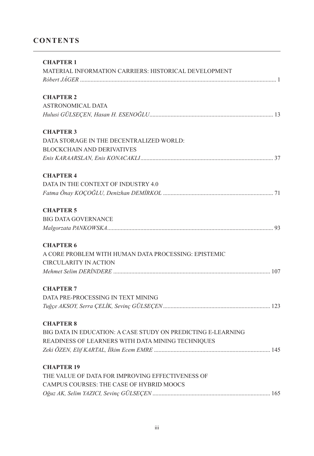### **CONTENTS**

| <b>CHAPTER 1</b>                                             |
|--------------------------------------------------------------|
| MATERIAL INFORMATION CARRIERS: HISTORICAL DEVELOPMENT        |
|                                                              |
| <b>CHAPTER 2</b>                                             |
| <b>ASTRONOMICAL DATA</b>                                     |
|                                                              |
| <b>CHAPTER 3</b>                                             |
| DATA STORAGE IN THE DECENTRALIZED WORLD:                     |
| <b>BLOCKCHAIN AND DERIVATIVES</b>                            |
|                                                              |
| <b>CHAPTER 4</b>                                             |
| DATA IN THE CONTEXT OF INDUSTRY 4.0                          |
|                                                              |
| <b>CHAPTER 5</b>                                             |
| <b>BIG DATA GOVERNANCE</b>                                   |
|                                                              |
| <b>CHAPTER 6</b>                                             |
| A CORE PROBLEM WITH HUMAN DATA PROCESSING: EPISTEMIC         |
| <b>CIRCULARITY IN ACTION</b>                                 |
|                                                              |
| <b>CHAPTER 7</b>                                             |
| DATA PRE-PROCESSING IN TEXT MINING                           |
|                                                              |
| <b>CHAPTER 8</b>                                             |
| BIG DATA IN EDUCATION: A CASE STUDY ON PREDICTING E-LEARNING |
| READINESS OF LEARNERS WITH DATA MINING TECHNIQUES            |
|                                                              |
| <b>CHAPTER 19</b>                                            |
| THE VALUE OF DATA FOR IMPROVING EFFECTIVENESS OF             |
| CAMPUS COURSES: THE CASE OF HYBRID MOOCS                     |
|                                                              |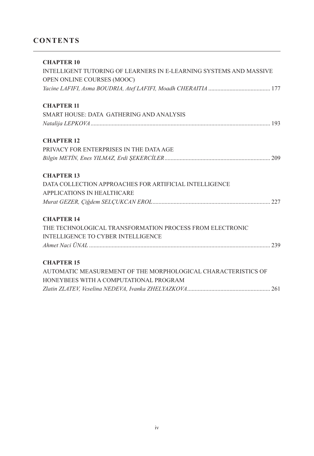### **CONTENTS**

| <b>CHAPTER 10</b>                                                  |
|--------------------------------------------------------------------|
| INTELLIGENT TUTORING OF LEARNERS IN E-LEARNING SYSTEMS AND MASSIVE |
| OPEN ONLINE COURSES (MOOC)                                         |
|                                                                    |
| <b>CHAPTER 11</b>                                                  |
| SMART HOUSE: DATA GATHERING AND ANALYSIS                           |
|                                                                    |
| <b>CHAPTER 12</b>                                                  |
| PRIVACY FOR ENTERPRISES IN THE DATA AGE                            |
|                                                                    |
| <b>CHAPTER 13</b>                                                  |
| DATA COLLECTION APPROACHES FOR ARTIFICIAL INTELLIGENCE             |
| APPLICATIONS IN HEALTHCARE                                         |
|                                                                    |
| <b>CHAPTER 14</b>                                                  |
| THE TECHNOLOGICAL TRANSFORMATION PROCESS FROM ELECTRONIC           |
| <b>INTELLIGENCE TO CYBER INTELLIGENCE</b>                          |
|                                                                    |
| <b>CHAPTER 15</b>                                                  |
| AUTOMATIC MEASUREMENT OF THE MORPHOLOGICAL CHARACTERISTICS OF      |
| HONEYBEES WITH A COMPUTATIONAL PROGRAM                             |
|                                                                    |
|                                                                    |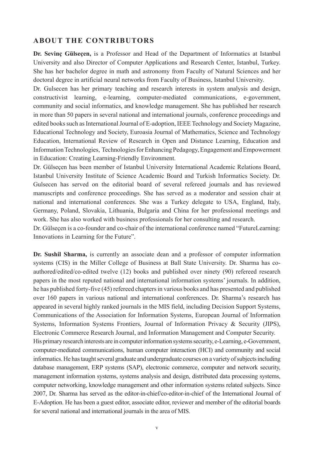**Dr. Sevinç Gülseçen,** is a Professor and Head of the Department of Informatics at Istanbul University and also Director of Computer Applications and Research Center, Istanbul, Turkey. She has her bachelor degree in math and astronomy from Faculty of Natural Sciences and her doctoral degree in artificial neural networks from Faculty of Business, Istanbul University.

Dr. Gulsecen has her primary teaching and research interests in system analysis and design, constructivist learning, e-learning, computer-mediated communications, e-government, community and social informatics, and knowledge management. She has published her research in more than 50 papers in several national and international journals, conference proceedings and edited books such as International Journal of E-adoption, IEEE Technology and Society Magazine, Educational Technology and Society, Euroasia Journal of Mathematics, Science and Technology Education, International Review of Research in Open and Distance Learning, Education and Information Technologies, Technologies for Enhancing Pedagogy, Engagement and Empowerment in Education: Creating Learning-Friendly Environment.

Dr. Gülseçen has been member of Istanbul University International Academic Relations Board, Istanbul University Institute of Science Academic Board and Turkish Informatics Society. Dr. Gulsecen has served on the editorial board of several refereed journals and has reviewed manuscripts and conference proceedings. She has served as a moderator and session chair at national and international conferences. She was a Turkey delegate to USA, England, Italy, Germany, Poland, Slovakia, Lithuania, Bulgaria and China for her professional meetings and work. She has also worked with business professionals for her consulting and research.

Dr. Gülseçen is a co-founder and co-chair of the international conference named "FutureLearning: Innovations in Learning for the Future".

**Dr. Sushil Sharma,** is currently an associate dean and a professor of computer information systems (CIS) in the Miller College of Business at Ball State University. Dr. Sharma has coauthored/edited/co-edited twelve (12) books and published over ninety (90) refereed research papers in the most reputed national and international information systems' journals. In addition, he has published forty-five (45) refereed chapters in various books and has presented and published over 160 papers in various national and international conferences. Dr. Sharma's research has appeared in several highly ranked journals in the MIS field, including Decision Support Systems, Communications of the Association for Information Systems, European Journal of Information Systems, Information Systems Frontiers, Journal of Information Privacy & Security (JIPS), Electronic Commerce Research Journal, and Information Management and Computer Security. His primary research interests are in computer information systems security, e-Learning, e-Government, computer-mediated communications, human computer interaction (HCI) and community and social informatics. He has taught several graduate and undergraduate courses on a variety of subjects including database management, ERP systems (SAP), electronic commerce, computer and network security, management information systems, systems analysis and design, distributed data processing systems, computer networking, knowledge management and other information systems related subjects. Since 2007, Dr. Sharma has served as the editor-in-chief/co-editor-in-chief of the International Journal of E-Adoption. He has been a guest editor, associate editor, reviewer and member of the editorial boards for several national and international journals in the area of MIS.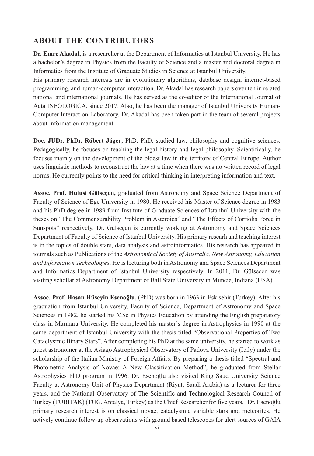**Dr. Emre Akadal,** is a researcher at the Department of Informatics at Istanbul University. He has a bachelor's degree in Physics from the Faculty of Science and a master and doctoral degree in Informatics from the Institute of Graduate Studies in Science at Istanbul University.

His primary research interests are in evolutionary algorithms, database design, internet-based programming, and human-computer interaction. Dr. Akadal has research papers over ten in related national and international journals. He has served as the co-editor of the International Journal of Acta INFOLOGICA, since 2017. Also, he has been the manager of Istanbul University Human-Computer Interaction Laboratory. Dr. Akadal has been taken part in the team of several projects about information management.

**Doc. JUDr. PhDr. Róbert Jáger**, PhD. PhD. studied law, philosophy and cognitive sciences. Pedagogically, he focuses on teaching the legal history and legal philosophy. Scientifically, he focuses mainly on the development of the oldest law in the territory of Central Europe. Author uses linguistic methods to reconstruct the law at a time when there was no written record of legal norms. He currently points to the need for critical thinking in interpreting information and text.

**Assoc. Prof. Hulusi Gülseçen,** graduated from Astronomy and Space Science Department of Faculty of Science of Ege University in 1980. He received his Master of Science degree in 1983 and his PhD degree in 1989 from Institute of Graduate Sciences of Istanbul University with the theses on "The Commensurability Problem in Asteroids" and "The Effects of Corriolis Force in Sunspots" respectively. Dr. Gulseçen is currently working at Astronomy and Space Sciences Department of Faculty of Science of Istanbul University. His primary researh and teaching interest is in the topics of double stars, data analysis and astroinformatics. His research has appeared in journals such as Publications of the *Astronomical Society of Australia, New Astronomy, Education and Information Technologies*. He is lecturing both in Astronomy and Space Sciences Department and Informatics Department of Istanbul University respectively. In 2011, Dr. Gülseçen was visiting schollar at Astronomy Department of Ball State University in Muncie, Indiana (USA).

**Assoc. Prof. Hasan Hüseyin Esenoğlu,** (PhD) was born in 1963 in Eskisehir (Turkey). After his graduation from Istanbul University, Faculty of Science, Department of Astronomy and Space Sciences in 1982, he started his MSc in Physics Education by attending the English preparatory class in Marmara University. He completed his master's degree in Astrophysics in 1990 at the same department of Istanbul University with the thesis titled "Observational Properties of Two Cataclysmic Binary Stars". After completing his PhD at the same university, he started to work as guest astronomer at the Asiago Astrophysical Observatory of Padova University (Italy) under the scholarship of the Italian Ministry of Foreign Affairs. By preparing a thesis titled "Spectral and Photometric Analysis of Novae: A New Classification Method", he graduated from Stellar Astrophysics PhD program in 1996. Dr. Esenoğlu also visited King Saud University Science Faculty at Astronomy Unit of Physics Department (Riyat, Saudi Arabia) as a lecturer for three years, and the National Observatory of The Scientific and Technological Research Council of Turkey (TUBITAK) (TUG, Antalya, Turkey) as the Chief Researcher for five years. Dr. Esenoğlu primary research interest is on classical novae, cataclysmic variable stars and meteorites. He actively continue follow-up observations with ground based telescopes for alert sources of GAIA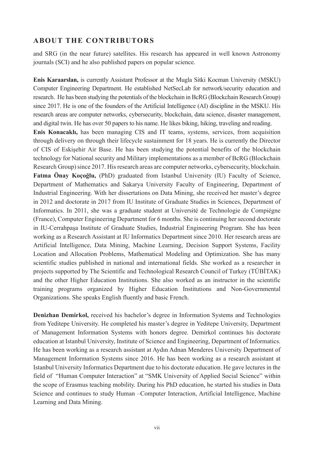and SRG (in the near future) satellites. His research has appeared in well known Astronomy journals (SCI) and he also published papers on popular science.

**Enis Karaarslan,** is currently Assistant Professor at the Mugla Sitki Kocman University (MSKU) Computer Engineering Department. He established NetSecLab for network/security education and research. He has been studying the potentials of the blockchain in BcRG (Blockchain Research Group) since 2017. He is one of the founders of the Artificial Intelligence (AI) discipline in the MSKU. His research areas are computer networks, cybersecurity, blockchain, data science, disaster management, and digital twin. He has over 50 papers to his name. He likes biking, hiking, traveling and reading. **Enis Konacaklı,** has been managing CIS and IT teams, systems, services, from acquisition through delivery on through their lifecycle sustainment for 18 years. He is currently the Director of CIS of Eskişehir Air Base. He has been studying the potential benefits of the blockchain technology for National security and Military implementations as a member of BcRG (Blockchain Research Group) since 2017. His research areas are computer networks, cybersecurity, blockchain. **Fatma Önay Koçoğlu,** (PhD) graduated from Istanbul University (IU) Faculty of Science, Department of Mathematics and Sakarya University Faculty of Engineering, Department of Industrial Engineering. With her dissertations on Data Mining, she received her master's degree in 2012 and doctorate in 2017 from IU Institute of Graduate Studies in Sciences, Department of Informatics. In 2011, she was a graduate student at Université de Technologie de Compiégne (France), Computer Engineering Department for 6 months. She is continuing her second doctorate in IU-Cerrahpaşa Institute of Graduate Studies, Industrial Engineering Program. She has been working as a Research Assistant at IU Informatics Department since 2010. Her research areas are Artificial Intelligence, Data Mining, Machine Learning, Decision Support Systems, Facility Location and Allocation Problems, Mathematical Modeling and Optimization. She has many scientific studies published in national and international fields. She worked as a researcher in projects supported by The Scientific and Technological Research Council of Turkey (TÜBİTAK) and the other Higher Education Institutions. She also worked as an instructor in the scientific training programs organized by Higher Education Institutions and Non-Governmental Organizations. She speaks English fluently and basic French.

**Denizhan Demirkol,** received his bachelor's degree in Information Systems and Technologies from Yeditepe University. He completed his master's degree in Yeditepe University, Department of Management Information Systems with honors degree. Demirkol continues his doctorate education at Istanbul University, Institute of Science and Engineering, Department of Informatics. He has been working as a research assistant at Aydın Adnan Menderes University Department of Management Information Systems since 2016. He has been working as a research assistant at Istanbul University Informatics Department due to his doctorate education. He gave lectures in the field of "Human Computer Interaction" at "SMK University of Applied Social Science" within the scope of Erasmus teaching mobility. During his PhD education, he started his studies in Data Science and continues to study Human –Computer Interaction, Artificial Intelligence, Machine Learning and Data Mining.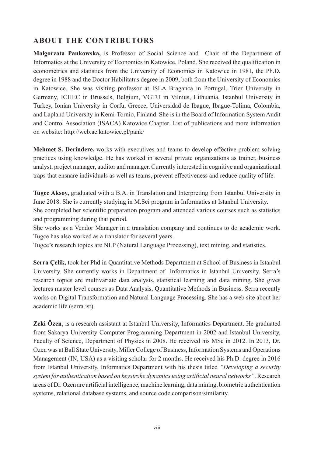**Malgorzata Pankowska,** is Professor of Social Science and Chair of the Department of Informatics at the University of Economics in Katowice, Poland. She received the qualification in econometrics and statistics from the University of Economics in Katowice in 1981, the Ph.D. degree in 1988 and the Doctor Habilitatus degree in 2009, both from the University of Economics in Katowice. She was visiting professor at ISLA Braganca in Portugal, Trier University in Germany, ICHEC in Brussels, Belgium, VGTU in Vilnius, Lithuania, Istanbul University in Turkey, Ionian University in Corfu, Greece, Universidad de Ibague, Ibague-Tolima, Colombia, and Lapland University in Kemi-Tornio, Finland. She is in the Board of Information System Audit and Control Association (ISACA) Katowice Chapter. List of publications and more information on website: http://web.ae.katowice.pl/pank/

**Mehmet S. Deri̇ndere,** works with executives and teams to develop effective problem solving practices using knowledge. He has worked in several private organizations as trainer, business analyst, project manager, auditor and manager. Currently interested in cognitive and organizational traps that ensnare individuals as well as teams, prevent effectiveness and reduce quality of life.

**Tugce Aksoy,** graduated with a B.A. in Translation and Interpreting from Istanbul University in June 2018. She is currently studying in M.Sci program in Informatics at Istanbul University. She completed her scientific preparation program and attended various courses such as statistics and programming during that period.

She works as a Vendor Manager in a translation company and continues to do academic work. Tugce has also worked as a translator for several years.

Tugce's research topics are NLP (Natural Language Processing), text mining, and statistics.

**Serra Çelik,** took her Phd in Quantitative Methods Department at School of Business in Istanbul University. She currently works in Department of Informatics in Istanbul University. Serra's research topics are multivariate data analysis, statistical learning and data mining. She gives lectures master level courses as Data Analysis, Quantitative Methods in Business. Serra recently works on Digital Transformation and Natural Language Processing. She has a web site about her academic life (serra.ist).

**Zeki Özen,** is a research assistant at Istanbul University, Informatics Department. He graduated from Sakarya University Computer Programming Department in 2002 and Istanbul University, Faculty of Science, Department of Physics in 2008. He received his MSc in 2012. In 2013, Dr. Ozen was at Ball State University, Miller College of Business, Information Systems and Operations Management (IN, USA) as a visiting scholar for 2 months. He received his Ph.D. degree in 2016 from Istanbul University, Informatics Department with his thesis titled *"Developing a security system for authentication based on keystroke dynamics using artificial neural networks"*. Research areas of Dr. Ozen are artificial intelligence, machine learning, data mining, biometric authentication systems, relational database systems, and source code comparison/similarity.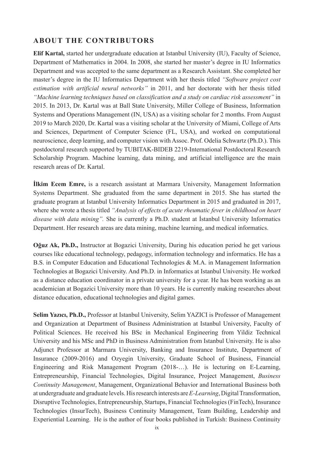**Elif Kartal,** started her undergraduate education at Istanbul University (IU), Faculty of Science, Department of Mathematics in 2004. In 2008, she started her master's degree in IU Informatics Department and was accepted to the same department as a Research Assistant. She completed her master's degree in the IU Informatics Department with her thesis titled *"Software project cost estimation with artificial neural networks"* in 2011, and her doctorate with her thesis titled *"Machine learning techniques based on classification and a study on cardiac risk assessment"* in 2015. In 2013, Dr. Kartal was at Ball State University, Miller College of Business, Information Systems and Operations Management (IN, USA) as a visiting scholar for 2 months. From August 2019 to March 2020, Dr. Kartal was a visiting scholar at the University of Miami, College of Arts and Sciences, Department of Computer Science (FL, USA), and worked on computational neuroscience, deep learning, and computer vision with Assoc. Prof. Odelia Schwartz (Ph.D.). This postdoctoral research supported by TUBITAK-BIDEB 2219-International Postdoctoral Research Scholarship Program. Machine learning, data mining, and artificial intelligence are the main research areas of Dr. Kartal.

**İlkim Ecem Emre,** is a research assistant at Marmara University, Management Information Systems Department. She graduated from the same department in 2015. She has started the graduate program at Istanbul University Informatics Department in 2015 and graduated in 2017, where she wrote a thesis titled *"Analysis of effects of acute rheumatic fever in childhood on heart disease with data mining".* She is currently a Ph.D. student at İstanbul University Informatics Department. Her research areas are data mining, machine learning, and medical informatics.

**Oğuz Ak, Ph.D.,** Instructor at Bogazici University, During his education period he get various courses like educational technology, pedagogy, information technology and informatics. He has a B.S. in Computer Education and Educational Technologies & M.A. in Management Information Technologies at Bogazici University. And Ph.D. in Informatics at Istanbul University. He worked as a distance education coordinator in a private university for a year. He has been working as an academician at Bogazici University more than 10 years. He is currently making researches about distance education, educational technologies and digital games.

**Selim Yazıcı, Ph.D.,** Professor at Istanbul University, Selim YAZICI is Professor of Management and Organization at Department of Business Administration at Istanbul University, Faculty of Political Sciences. He received his BSc in Mechanical Engineering from Yildiz Technical University and his MSc and PhD in Business Administration from Istanbul University. He is also Adjunct Professor at Marmara University, Banking and Insurance Institute, Department of Insurance (2009-2016) and Ozyegin University, Graduate School of Business, Financial Engineering and Risk Management Program (2018-…). He is lecturing on E-Learning, Entrepreneurship, Financial Technologies, Digital Insurance, Project Management, *Business Continuity Management*, Management, Organizational Behavior and International Business both at undergraduate and graduate levels. His research interests are *E-Learning*, Digital Transformation, Disruptive Technologies, Entrepreneurship, Startups, Financial Technologies (FinTech), Insurance Technologies (InsurTech), Business Continuity Management, Team Building, Leadership and Experiential Learning. He is the author of four books published in Turkish: Business Continuity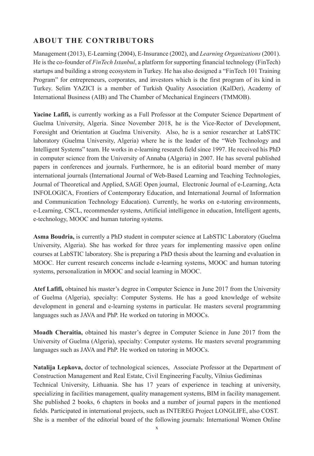Management (2013), E-Learning (2004), E-Insurance (2002), and *Learning Organizations* (2001). He is the co-founder of *FinTech Istanbul*, a platform for supporting financial technology (FinTech) startups and building a strong ecosystem in Turkey. He has also designed a "FinTech 101 Training Program" for entrepreneurs, corporates, and investors which is the first program of its kind in Turkey. Selim YAZICI is a member of Turkish Quality Association (KalDer), Academy of International Business (AIB) and The Chamber of Mechanical Engineers (TMMOB).

**Yacine Lafifi,** is currently working as a Full Professor at the Computer Science Department of Guelma University, Algeria. Since November 2018, he is the Vice-Rector of Development, Foresight and Orientation at Guelma University. Also, he is a senior researcher at LabSTIC laboratory (Guelma University, Algeria) where he is the leader of the "Web Technology and Intelligent Systems" team. He works in e-learning research field since 1997. He received his PhD in computer science from the University of Annaba (Algeria) in 2007. He has several published papers in conferences and journals. Furthermore, he is an editorial board member of many international journals (International Journal of Web-Based Learning and Teaching Technologies, Journal of Theoretical and Applied, SAGE Open journal, Electronic Journal of e-Learning, Acta INFOLOGICA, Frontiers of Contemporary Education, and International Journal of Information and Communication Technology Education). Currently, he works on e-tutoring environments, e-Learning, CSCL, recommender systems, Artificial intelligence in education, Intelligent agents, e-technology, MOOC and human tutoring systems.

**Asma Boudria,** is currently a PhD student in computer science at LabSTIC Laboratory (Guelma University, Algeria). She has worked for three years for implementing massive open online courses at LabSTIC laboratory. She is preparing a PhD thesis about the learning and evaluation in MOOC. Her current research concerns include e-learning systems, MOOC and human tutoring systems, personalization in MOOC and social learning in MOOC.

**Atef Lafifi,** obtained his master's degree in Computer Science in June 2017 from the University of Guelma (Algeria), specialty: Computer Systems. He has a good knowledge of website development in general and e-learning systems in particular. He masters several programming languages such as JAVA and PhP. He worked on tutoring in MOOCs.

**Moadh Cheraitia,** obtained his master's degree in Computer Science in June 2017 from the University of Guelma (Algeria), specialty: Computer systems. He masters several programming languages such as JAVA and PhP. He worked on tutoring in MOOCs.

**Natalija Lepkova,** doctor of technological sciences, Associate Professor at the Department of Construction Management and Real Estate, Civil Engineering Faculty, Vilnius Gediminas Technical University, Lithuania. She has 17 years of experience in teaching at university, specializing in facilities management, quality management systems, BIM in facility management. She published 2 books, 6 chapters in books and a number of journal papers in the mentioned fields. Participated in international projects, such as INTEREG Project LONGLIFE, also COST. She is a member of the editorial board of the following journals: International Women Online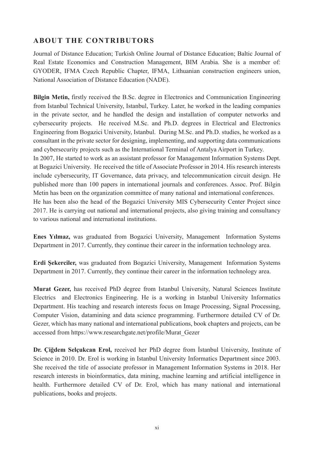Journal of Distance Education; Turkish Online Journal of Distance Education; Baltic Journal of Real Estate Economics and Construction Management, BIM Arabia. She is a member of: GYODER, IFMA Czech Republic Chapter, IFMA, Lithuanian construction engineers union, National Association of Distance Education (NADE).

**Bilgin Metin,** firstly received the B.Sc. degree in Electronics and Communication Engineering from Istanbul Technical University, Istanbul, Turkey. Later, he worked in the leading companies in the private sector, and he handled the design and installation of computer networks and cybersecurity projects. He received M.Sc. and Ph.D. degrees in Electrical and Electronics Engineering from Bogazici University, Istanbul. During M.Sc. and Ph.D. studies, he worked as a consultant in the private sector for designing, implementing, and supporting data communications and cybersecurity projects such as the International Terminal of Antalya Airport in Turkey. In 2007, He started to work as an assistant professor for Management Information Systems Dept. at Bogazici University. He received the title of Associate Professor in 2014. His research interests include cybersecurity, IT Governance, data privacy, and telecommunication circuit design. He published more than 100 papers in international journals and conferences. Assoc. Prof. Bilgin Metin has been on the organization committee of many national and international conferences. He has been also the head of the Bogazici University MIS Cybersecurity Center Project since 2017. He is carrying out national and international projects, also giving training and consultancy to various national and international institutions.

**Enes Yılmaz,** was graduated from Bogazici University, Management Information Systems Department in 2017. Currently, they continue their career in the information technology area.

**Erdi Şekerciler,** was graduated from Bogazici University, Management Information Systems Department in 2017. Currently, they continue their career in the information technology area.

**Murat Gezer,** has received PhD degree from Istanbul University, Natural Sciences Institute Electrics and Electronics Engineering. He is a working in Istanbul University Informatics Department. His teaching and research interests focus on Image Processing, Signal Processing, Computer Vision, datamining and data science programming. Furthermore detailed CV of Dr. Gezer, which has many national and international publications, book chapters and projects, can be accessed from https://www.researchgate.net/profile/Murat\_Gezer

**Dr. Çiğdem Selçukcan Erol,** received her PhD degree from İstanbul University, Institute of Science in 2010. Dr. Erol is working in Istanbul University Informatics Department since 2003. She received the title of associate professor in Management Information Systems in 2018. Her research interests in bioinformatics, data mining, machine learning and artificial intelligence in health. Furthermore detailed CV of Dr. Erol, which has many national and international publications, books and projects.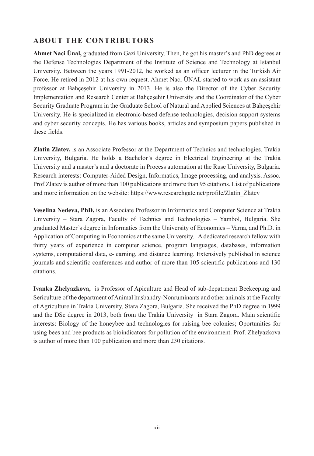**Ahmet Naci Ünal,** graduated from Gazi University. Then, he got his master's and PhD degrees at the Defense Technologies Department of the Institute of Science and Technology at Istanbul University. Between the years 1991-2012, he worked as an officer lecturer in the Turkish Air Force. He retired in 2012 at his own request. Ahmet Naci ÜNAL started to work as an assistant professor at Bahçeşehir University in 2013. He is also the Director of the Cyber Security Implementation and Research Center at Bahçeşehir University and the Coordinator of the Cyber Security Graduate Program in the Graduate School of Natural and Applied Sciences at Bahçeşehir University. He is specialized in electronic-based defense technologies, decision support systems and cyber security concepts. He has various books, articles and symposium papers published in these fields.

**Zlatin Zlatev,** is an Associate Professor at the Department of Technics and technologies, Trakia University, Bulgaria. He holds a Bachelor's degree in Electrical Engineering at the Trakia University and a master's and a doctorate in Process automation at the Ruse University, Bulgaria. Research interests: Computer-Aided Design, Informatics, Image processing, and analysis. Assoc. Prof.Zlatev is author of more than 100 publications and more than 95 citations. List of publications and more information on the website: https://www.researchgate.net/profile/Zlatin\_Zlatev

**Veselina Nedeva, PhD,** is an Associate Professor in Informatics and Computer Science at Trakia University – Stara Zagora, Faculty of Technics and Technologies – Yambol, Bulgaria. She graduated Master's degree in Informatics from the University of Economics – Varna, and Ph.D. in Application of Computing in Economics at the same University. A dedicated research fellow with thirty years of experience in computer science, program languages, databases, information systems, computational data, e-learning, and distance learning. Extensively published in science journals and scientific conferences and author of more than 105 scientific publications and 130 citations.

**Ivanka Zhelyazkova,** is Professor of Apiculture and Head of sub-depatrment Beekeeping and Sericulture of the department of Animal husbandry-Nonruminants and other animals at the Faculty of Agriculture in Trakia University, Stara Zagora, Bulgaria. She received the PhD degree in 1999 and the DSc degree in 2013, both from the Trakia University in Stara Zagora. Main scientific interests: Biology of the honeybee and technologies for raising bee colonies; Oportunities for using bees and bee products as bioindicators for pollution of the environment. Prof. Zhelyazkova is author of more than 100 publication and more than 230 citations.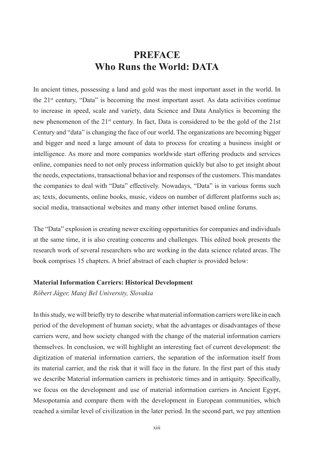## **PREFACE Who Runs the World: DATA**

In ancient times, possessing a land and gold was the most important asset in the world. In the  $21<sup>st</sup>$  century, "Data" is becoming the most important asset. As data activities continue to increase in speed, scale and variety, data Science and Data Analytics is becoming the new phenomenon of the 21st century. In fact, Data is considered to be the gold of the 21st Century and "data" is changing the face of our world. The organizations are becoming bigger and bigger and need a large amount of data to process for creating a business insight or intelligence. As more and more companies worldwide start offering products and services online, companies need to not only process information quickly but also to get insight about the needs, expectations, transactional behavior and responses of the customers. This mandates the companies to deal with "Data" effectively. Nowadays, "Data" is in various forms such as; texts, documents, online books, music, videos on number of different platforms such as; social media, transactional websites and many other internet based online forums.

The "Data" explosion is creating newer exciting opportunities for companies and individuals at the same time, it is also creating concerns and challenges. This edited book presents the research work of several researchers who are working in the data science related areas. The book comprises 15 chapters. A brief abstract of each chapter is provided below:

#### **Material Information Carriers: Historical Development**

*Róbert Jáger, Matej Bel University, Slovakia*

In this study, we will briefly try to describe what material information carriers were like in each period of the development of human society, what the advantages or disadvantages of these carriers were, and how society changed with the change of the material information carriers themselves. In conclusion, we will highlight an interesting fact of current development: the digitization of material information carriers, the separation of the information itself from its material carrier, and the risk that it will face in the future. In the first part of this study we describe Material information carriers in prehistoric times and in antiquity. Specifically, we focus on the development and use of material information carriers in Ancient Egypt, Mesopotamia and compare them with the development in European communities, which reached a similar level of civilization in the later period. In the second part, we pay attention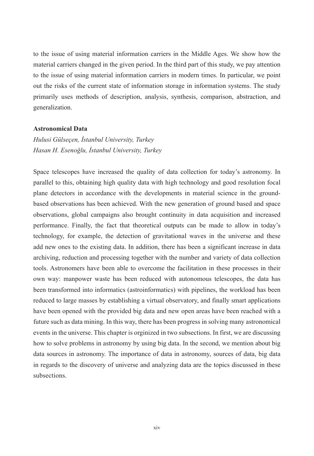to the issue of using material information carriers in the Middle Ages. We show how the material carriers changed in the given period. In the third part of this study, we pay attention to the issue of using material information carriers in modern times. In particular, we point out the risks of the current state of information storage in information systems. The study primarily uses methods of description, analysis, synthesis, comparison, abstraction, and generalization.

#### **Astronomical Data**

*Hulusi Gülseçen, İstanbul University, Turkey Hasan H. Esenoğlu, İstanbul University, Turkey*

Space telescopes have increased the quality of data collection for today's astronomy. In parallel to this, obtaining high quality data with high technology and good resolution focal plane detectors in accordance with the developments in material science in the groundbased observations has been achieved. With the new generation of ground based and space observations, global campaigns also brought continuity in data acquisition and increased performance. Finally, the fact that theoretical outputs can be made to allow in today's technology, for example, the detection of gravitational waves in the universe and these add new ones to the existing data. In addition, there has been a significant increase in data archiving, reduction and processing together with the number and variety of data collection tools. Astronomers have been able to overcome the facilitation in these processes in their own way: manpower waste has been reduced with autonomous telescopes, the data has been transformed into informatics (astroinformatics) with pipelines, the workload has been reduced to large masses by establishing a virtual observatory, and finally smart applications have been opened with the provided big data and new open areas have been reached with a future such as data mining. In this way, there has been progress in solving many astronomical events in the universe. This chapter is orginized in two subsections. In first, we are discussing how to solve problems in astronomy by using big data. In the second, we mention about big data sources in astronomy. The importance of data in astronomy, sources of data, big data in regards to the discovery of universe and analyzing data are the topics discussed in these subsections.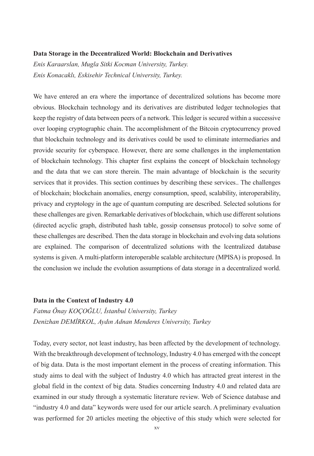#### **Data Storage in the Decentralized World: Blockchain and Derivatives**

*Enis Karaarslan, Mugla Sitki Kocman University, Turkey. Enis Konacaklı, Eskisehir Technical University, Turkey.*

We have entered an era where the importance of decentralized solutions has become more obvious. Blockchain technology and its derivatives are distributed ledger technologies that keep the registry of data between peers of a network. This ledger is secured within a successive over looping cryptographic chain. The accomplishment of the Bitcoin cryptocurrency proved that blockchain technology and its derivatives could be used to eliminate intermediaries and provide security for cyberspace. However, there are some challenges in the implementation of blockchain technology. This chapter first explains the concept of blockchain technology and the data that we can store therein. The main advantage of blockchain is the security services that it provides. This section continues by describing these services.. The challenges of blockchain; blockchain anomalies, energy consumption, speed, scalability, interoperability, privacy and cryptology in the age of quantum computing are described. Selected solutions for these challenges are given. Remarkable derivatives of blockchain, which use different solutions (directed acyclic graph, distributed hash table, gossip consensus protocol) to solve some of these challenges are described. Then the data storage in blockchain and evolving data solutions are explained. The comparison of decentralized solutions with the lcentralized database systems is given. A multi-platform interoperable scalable architecture (MPISA) is proposed. In the conclusion we include the evolution assumptions of data storage in a decentralized world.

#### **Data in the Context of Industry 4.0**

*Fatma Önay KOÇOĞLU, İstanbul University, Turkey Denizhan DEMİRKOL, Aydın Adnan Menderes University, Turkey*

Today, every sector, not least industry, has been affected by the development of technology. With the breakthrough development of technology, Industry 4.0 has emerged with the concept of big data. Data is the most important element in the process of creating information. This study aims to deal with the subject of Industry 4.0 which has attracted great interest in the global field in the context of big data. Studies concerning Industry 4.0 and related data are examined in our study through a systematic literature review. Web of Science database and "industry 4.0 and data" keywords were used for our article search. A preliminary evaluation was performed for 20 articles meeting the objective of this study which were selected for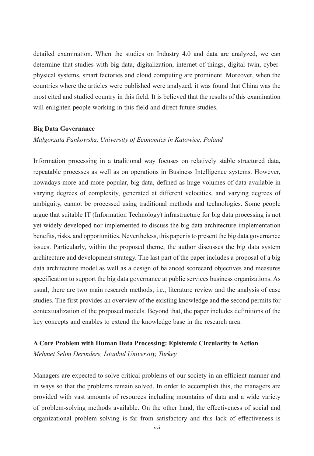detailed examination. When the studies on Industry 4.0 and data are analyzed, we can determine that studies with big data, digitalization, internet of things, digital twin, cyberphysical systems, smart factories and cloud computing are prominent. Moreover, when the countries where the articles were published were analyzed, it was found that China was the most cited and studied country in this field. It is believed that the results of this examination will enlighten people working in this field and direct future studies.

#### **Big Data Governance**

#### *Malgorzata Pankowska, University of Economics in Katowice, Poland*

Information processing in a traditional way focuses on relatively stable structured data, repeatable processes as well as on operations in Business Intelligence systems. However, nowadays more and more popular, big data, defined as huge volumes of data available in varying degrees of complexity, generated at different velocities, and varying degrees of ambiguity, cannot be processed using traditional methods and technologies. Some people argue that suitable IT (Information Technology) infrastructure for big data processing is not yet widely developed nor implemented to discuss the big data architecture implementation benefits, risks, and opportunities. Nevertheless, this paper is to present the big data governance issues. Particularly, within the proposed theme, the author discusses the big data system architecture and development strategy. The last part of the paper includes a proposal of a big data architecture model as well as a design of balanced scorecard objectives and measures specification to support the big data governance at public services business organizations. As usual, there are two main research methods, i.e., literature review and the analysis of case studies. The first provides an overview of the existing knowledge and the second permits for contextualization of the proposed models. Beyond that, the paper includes definitions of the key concepts and enables to extend the knowledge base in the research area.

#### **A Core Problem with Human Data Processing: Epistemic Circularity in Action**

*Mehmet Selim Derindere, İstanbul University, Turkey*

Managers are expected to solve critical problems of our society in an efficient manner and in ways so that the problems remain solved. In order to accomplish this, the managers are provided with vast amounts of resources including mountains of data and a wide variety of problem-solving methods available. On the other hand, the effectiveness of social and organizational problem solving is far from satisfactory and this lack of effectiveness is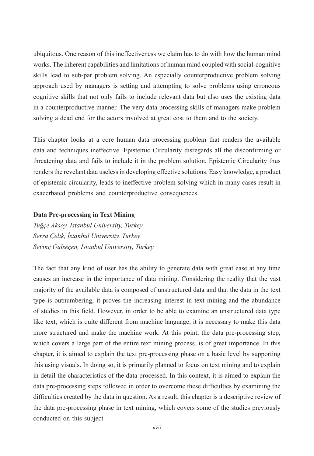ubiquitous. One reason of this ineffectiveness we claim has to do with how the human mind works. The inherent capabilities and limitations of human mind coupled with social-cognitive skills lead to sub-par problem solving. An especially counterproductive problem solving approach used by managers is setting and attempting to solve problems using erroneous cognitive skills that not only fails to include relevant data but also uses the existing data in a counterproductive manner. The very data processing skills of managers make problem solving a dead end for the actors involved at great cost to them and to the society.

This chapter looks at a core human data processing problem that renders the available data and techniques ineffective. Epistemic Circularity disregards all the disconfirming or threatening data and fails to include it in the problem solution. Epistemic Circularity thus renders the revelant data useless in developing effective solutions. Easy knowledge, a product of epistemic circularity, leads to ineffective problem solving which in many cases result in exacerbated problems and counterproductive consequences.

#### **Data Pre-processing in Text Mining**

*Tuğçe Aksoy, İstanbul University, Turkey Serra Çelik, İstanbul University, Turkey Sevinç Gülseçen, İstanbul University, Turkey*

The fact that any kind of user has the ability to generate data with great ease at any time causes an increase in the importance of data mining. Considering the reality that the vast majority of the available data is composed of unstructured data and that the data in the text type is outnumbering, it proves the increasing interest in text mining and the abundance of studies in this field. However, in order to be able to examine an unstructured data type like text, which is quite different from machine language, it is necessary to make this data more structured and make the machine work. At this point, the data pre-processing step, which covers a large part of the entire text mining process, is of great importance. In this chapter, it is aimed to explain the text pre-processing phase on a basic level by supporting this using visuals. In doing so, it is primarily planned to focus on text mining and to explain in detail the characteristics of the data processed. In this context, it is aimed to explain the data pre-processing steps followed in order to overcome these difficulties by examining the difficulties created by the data in question. As a result, this chapter is a descriptive review of the data pre-processing phase in text mining, which covers some of the studies previously conducted on this subject.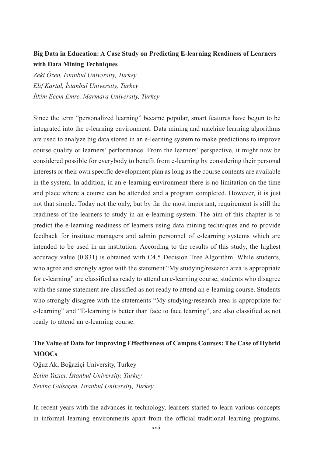### **Big Data in Education: A Case Study on Predicting E-learning Readiness of Learners with Data Mining Techniques**

*Zeki Özen, İstanbul University, Turkey Elif Kartal, İstanbul University, Turkey İlkim Ecem Emre, Marmara University, Turkey*

Since the term "personalized learning" became popular, smart features have begun to be integrated into the e-learning environment. Data mining and machine learning algorithms are used to analyze big data stored in an e-learning system to make predictions to improve course quality or learners' performance. From the learners' perspective, it might now be considered possible for everybody to benefit from e-learning by considering their personal interests or their own specific development plan as long as the course contents are available in the system. In addition, in an e-learning environment there is no limitation on the time and place where a course can be attended and a program completed. However, it is just not that simple. Today not the only, but by far the most important, requirement is still the readiness of the learners to study in an e-learning system. The aim of this chapter is to predict the e-learning readiness of learners using data mining techniques and to provide feedback for institute managers and admin personnel of e-learning systems which are intended to be used in an institution. According to the results of this study, the highest accuracy value (0.831) is obtained with C4.5 Decision Tree Algorithm. While students, who agree and strongly agree with the statement "My studying/research area is appropriate for e-learning" are classified as ready to attend an e-learning course, students who disagree with the same statement are classified as not ready to attend an e-learning course. Students who strongly disagree with the statements "My studying/research area is appropriate for e-learning" and "E-learning is better than face to face learning", are also classified as not ready to attend an e-learning course.

### **The Value of Data for Improving Effectiveness of Campus Courses: The Case of Hybrid MOOCs**

Oğuz Ak, Boğaziçi University, Turkey *Selim Yazıcı, İstanbul University, Turkey Sevinç Gülseçen, İstanbul University, Turkey*

In recent years with the advances in technology, learners started to learn various concepts in informal learning environments apart from the official traditional learning programs.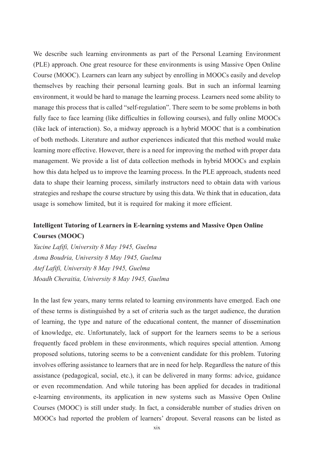We describe such learning environments as part of the Personal Learning Environment (PLE) approach. One great resource for these environments is using Massive Open Online Course (MOOC). Learners can learn any subject by enrolling in MOOCs easily and develop themselves by reaching their personal learning goals. But in such an informal learning environment, it would be hard to manage the learning process. Learners need some ability to manage this process that is called "self-regulation". There seem to be some problems in both fully face to face learning (like difficulties in following courses), and fully online MOOCs (like lack of interaction). So, a midway approach is a hybrid MOOC that is a combination of both methods. Literature and author experiences indicated that this method would make learning more effective. However, there is a need for improving the method with proper data management. We provide a list of data collection methods in hybrid MOOCs and explain how this data helped us to improve the learning process. In the PLE approach, students need data to shape their learning process, similarly instructors need to obtain data with various strategies and reshape the course structure by using this data. We think that in education, data usage is somehow limited, but it is required for making it more efficient.

### **Intelligent Tutoring of Learners in E-learning systems and Massive Open Online Courses (MOOC)**

*Yacine Lafifi, University 8 May 1945, Guelma Asma Boudria, University 8 May 1945, Guelma Atef Lafifi, University 8 May 1945, Guelma Moadh Cheraitia, University 8 May 1945, Guelma*

In the last few years, many terms related to learning environments have emerged. Each one of these terms is distinguished by a set of criteria such as the target audience, the duration of learning, the type and nature of the educational content, the manner of dissemination of knowledge, etc. Unfortunately, lack of support for the learners seems to be a serious frequently faced problem in these environments, which requires special attention. Among proposed solutions, tutoring seems to be a convenient candidate for this problem. Tutoring involves offering assistance to learners that are in need for help. Regardless the nature of this assistance (pedagogical, social, etc.), it can be delivered in many forms: advice, guidance or even recommendation. And while tutoring has been applied for decades in traditional e-learning environments, its application in new systems such as Massive Open Online Courses (MOOC) is still under study. In fact, a considerable number of studies driven on MOOCs had reported the problem of learners' dropout. Several reasons can be listed as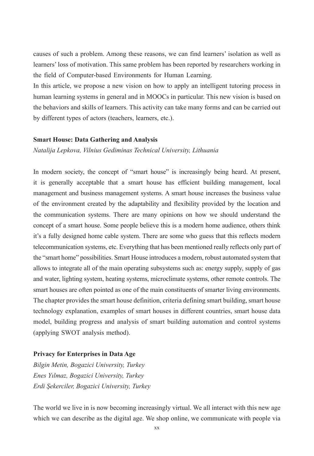causes of such a problem. Among these reasons, we can find learners' isolation as well as learners' loss of motivation. This same problem has been reported by researchers working in the field of Computer-based Environments for Human Learning.

In this article, we propose a new vision on how to apply an intelligent tutoring process in human learning systems in general and in MOOCs in particular. This new vision is based on the behaviors and skills of learners. This activity can take many forms and can be carried out by different types of actors (teachers, learners, etc.).

#### **Smart House: Data Gathering and Analysis**

*Natalija Lepkova, Vilnius Gediminas Technical University, Lithuania*

In modern society, the concept of "smart house" is increasingly being heard. At present, it is generally acceptable that a smart house has efficient building management, local management and business management systems. A smart house increases the business value of the environment created by the adaptability and flexibility provided by the location and the communication systems. There are many opinions on how we should understand the concept of a smart house. Some people believe this is a modern home audience, others think it's a fully designed home cable system. There are some who guess that this reflects modern telecommunication systems, etc. Everything that has been mentioned really reflects only part of the "smart home" possibilities. Smart House introduces a modern, robust automated system that allows to integrate all of the main operating subsystems such as: energy supply, supply of gas and water, lighting system, heating systems, microclimate systems, other remote controls. The smart houses are often pointed as one of the main constituents of smarter living environments. The chapter provides the smart house definition, criteria defining smart building, smart house technology explanation, examples of smart houses in different countries, smart house data model, building progress and analysis of smart building automation and control systems (applying SWOT analysis method).

#### **Privacy for Enterprises in Data Age**

*Bilgin Metin, Bogazici University, Turkey Enes Yılmaz, Bogazici University, Turkey Erdi Şekerciler, Bogazici University, Turkey*

The world we live in is now becoming increasingly virtual. We all interact with this new age which we can describe as the digital age. We shop online, we communicate with people via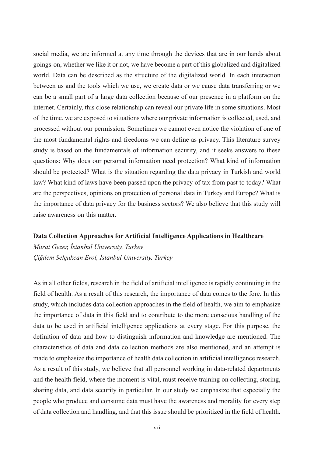social media, we are informed at any time through the devices that are in our hands about goings-on, whether we like it or not, we have become a part of this globalized and digitalized world. Data can be described as the structure of the digitalized world. In each interaction between us and the tools which we use, we create data or we cause data transferring or we can be a small part of a large data collection because of our presence in a platform on the internet. Certainly, this close relationship can reveal our private life in some situations. Most of the time, we are exposed to situations where our private information is collected, used, and processed without our permission. Sometimes we cannot even notice the violation of one of the most fundamental rights and freedoms we can define as privacy. This literature survey study is based on the fundamentals of information security, and it seeks answers to these questions: Why does our personal information need protection? What kind of information should be protected? What is the situation regarding the data privacy in Turkish and world law? What kind of laws have been passed upon the privacy of tax from past to today? What are the perspectives, opinions on protection of personal data in Turkey and Europe? What is the importance of data privacy for the business sectors? We also believe that this study will raise awareness on this matter.

#### **Data Collection Approaches for Artificial Intelligence Applications in Healthcare**

*Murat Gezer, İstanbul University, Turkey Çiğdem Selçukcan Erol, İstanbul University, Turkey*

As in all other fields, research in the field of artificial intelligence is rapidly continuing in the field of health. As a result of this research, the importance of data comes to the fore. In this study, which includes data collection approaches in the field of health, we aim to emphasize the importance of data in this field and to contribute to the more conscious handling of the data to be used in artificial intelligence applications at every stage. For this purpose, the definition of data and how to distinguish information and knowledge are mentioned. The characteristics of data and data collection methods are also mentioned, and an attempt is made to emphasize the importance of health data collection in artificial intelligence research. As a result of this study, we believe that all personnel working in data-related departments and the health field, where the moment is vital, must receive training on collecting, storing, sharing data, and data security in particular. In our study we emphasize that especially the people who produce and consume data must have the awareness and morality for every step of data collection and handling, and that this issue should be prioritized in the field of health.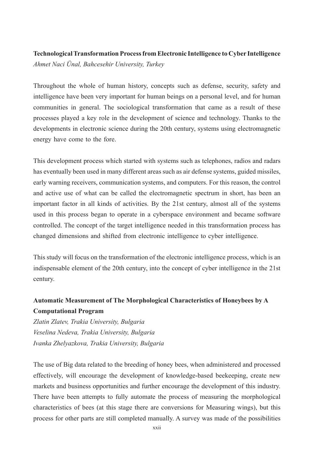### **Technological Transformation Process from Electronic Intelligence to Cyber Intelligence** *Ahmet Naci Ünal, Bahcesehir University, Turkey*

Throughout the whole of human history, concepts such as defense, security, safety and intelligence have been very important for human beings on a personal level, and for human communities in general. The sociological transformation that came as a result of these processes played a key role in the development of science and technology. Thanks to the developments in electronic science during the 20th century, systems using electromagnetic energy have come to the fore.

This development process which started with systems such as telephones, radios and radars has eventually been used in many different areas such as air defense systems, guided missiles, early warning receivers, communication systems, and computers. For this reason, the control and active use of what can be called the electromagnetic spectrum in short, has been an important factor in all kinds of activities. By the 21st century, almost all of the systems used in this process began to operate in a cyberspace environment and became software controlled. The concept of the target intelligence needed in this transformation process has changed dimensions and shifted from electronic intelligence to cyber intelligence.

This study will focus on the transformation of the electronic intelligence process, which is an indispensable element of the 20th century, into the concept of cyber intelligence in the 21st century.

### **Automatic Measurement of The Morphological Characteristics of Honeybees by A Computational Program**

*Zlatin Zlatev, Trakia University, Bulgaria Veselina Nedeva, Trakia University, Bulgaria Ivanka Zhelyazkova, Trakia University, Bulgaria*

The use of Big data related to the breeding of honey bees, when administered and processed effectively, will encourage the development of knowledge-based beekeeping, create new markets and business opportunities and further encourage the development of this industry. There have been attempts to fully automate the process of measuring the morphological characteristics of bees (at this stage there are conversions for Measuring wings), but this process for other parts are still completed manually. A survey was made of the possibilities